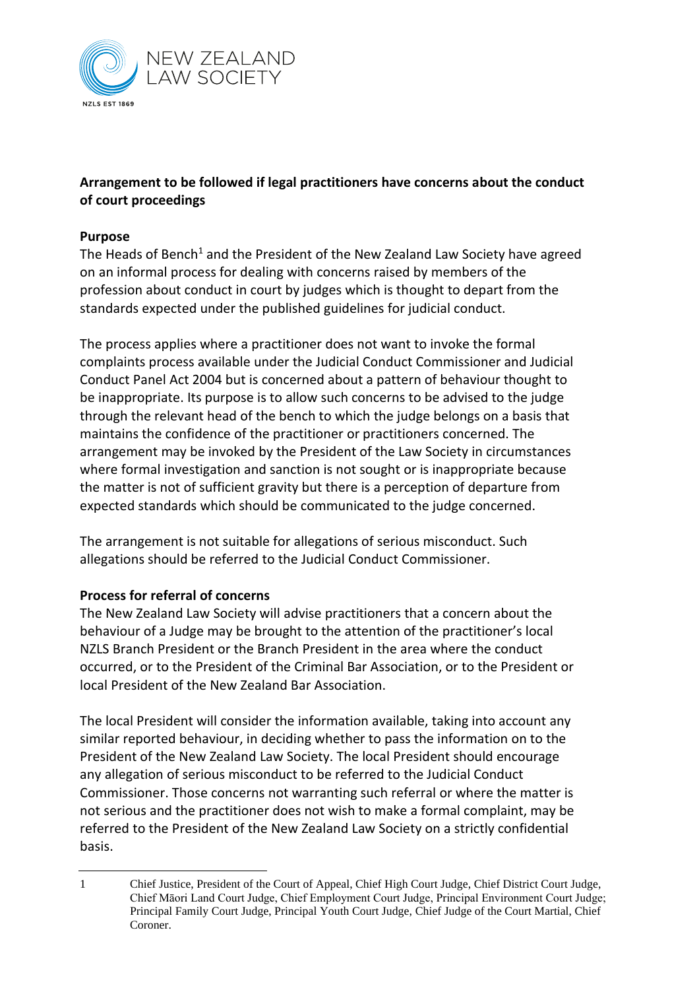

## **Arrangement to be followed if legal practitioners have concerns about the conduct of court proceedings**

## **Purpose**

The Heads of Bench<sup>1</sup> and the President of the New Zealand Law Society have agreed on an informal process for dealing with concerns raised by members of the profession about conduct in court by judges which is thought to depart from the standards expected under the published guidelines for judicial conduct.

The process applies where a practitioner does not want to invoke the formal complaints process available under the Judicial Conduct Commissioner and Judicial Conduct Panel Act 2004 but is concerned about a pattern of behaviour thought to be inappropriate. Its purpose is to allow such concerns to be advised to the judge through the relevant head of the bench to which the judge belongs on a basis that maintains the confidence of the practitioner or practitioners concerned. The arrangement may be invoked by the President of the Law Society in circumstances where formal investigation and sanction is not sought or is inappropriate because the matter is not of sufficient gravity but there is a perception of departure from expected standards which should be communicated to the judge concerned.

The arrangement is not suitable for allegations of serious misconduct. Such allegations should be referred to the Judicial Conduct Commissioner.

## **Process for referral of concerns**

The New Zealand Law Society will advise practitioners that a concern about the behaviour of a Judge may be brought to the attention of the practitioner's local NZLS Branch President or the Branch President in the area where the conduct occurred, or to the President of the Criminal Bar Association, or to the President or local President of the New Zealand Bar Association.

The local President will consider the information available, taking into account any similar reported behaviour, in deciding whether to pass the information on to the President of the New Zealand Law Society. The local President should encourage any allegation of serious misconduct to be referred to the Judicial Conduct Commissioner. Those concerns not warranting such referral or where the matter is not serious and the practitioner does not wish to make a formal complaint, may be referred to the President of the New Zealand Law Society on a strictly confidential basis.

<sup>1</sup> Chief Justice, President of the Court of Appeal, Chief High Court Judge, Chief District Court Judge, Chief Māori Land Court Judge, Chief Employment Court Judge, Principal Environment Court Judge; Principal Family Court Judge, Principal Youth Court Judge, Chief Judge of the Court Martial, Chief Coroner.